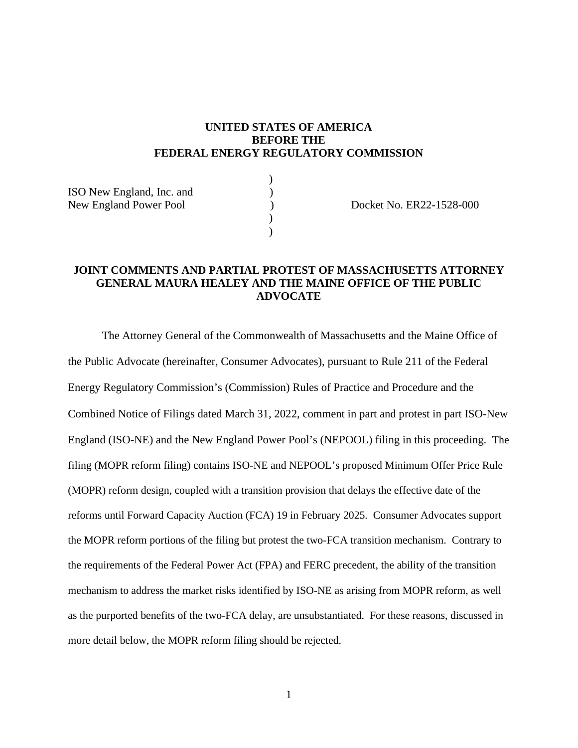# **UNITED STATES OF AMERICA BEFORE THE FEDERAL ENERGY REGULATORY COMMISSION**

 $\overline{\phantom{a}}$ 

ISO New England, Inc. and ) New England Power Pool (a) (b) Docket No. ER22-1528-000  $)$ 

 $)$ 

# **JOINT COMMENTS AND PARTIAL PROTEST OF MASSACHUSETTS ATTORNEY GENERAL MAURA HEALEY AND THE MAINE OFFICE OF THE PUBLIC ADVOCATE**

The Attorney General of the Commonwealth of Massachusetts and the Maine Office of the Public Advocate (hereinafter, Consumer Advocates), pursuant to Rule 211 of the Federal Energy Regulatory Commission's (Commission) Rules of Practice and Procedure and the Combined Notice of Filings dated March 31, 2022, comment in part and protest in part ISO-New England (ISO-NE) and the New England Power Pool's (NEPOOL) filing in this proceeding. The filing (MOPR reform filing) contains ISO-NE and NEPOOL's proposed Minimum Offer Price Rule (MOPR) reform design, coupled with a transition provision that delays the effective date of the reforms until Forward Capacity Auction (FCA) 19 in February 2025. Consumer Advocates support the MOPR reform portions of the filing but protest the two-FCA transition mechanism. Contrary to the requirements of the Federal Power Act (FPA) and FERC precedent, the ability of the transition mechanism to address the market risks identified by ISO-NE as arising from MOPR reform, as well as the purported benefits of the two-FCA delay, are unsubstantiated. For these reasons, discussed in more detail below, the MOPR reform filing should be rejected.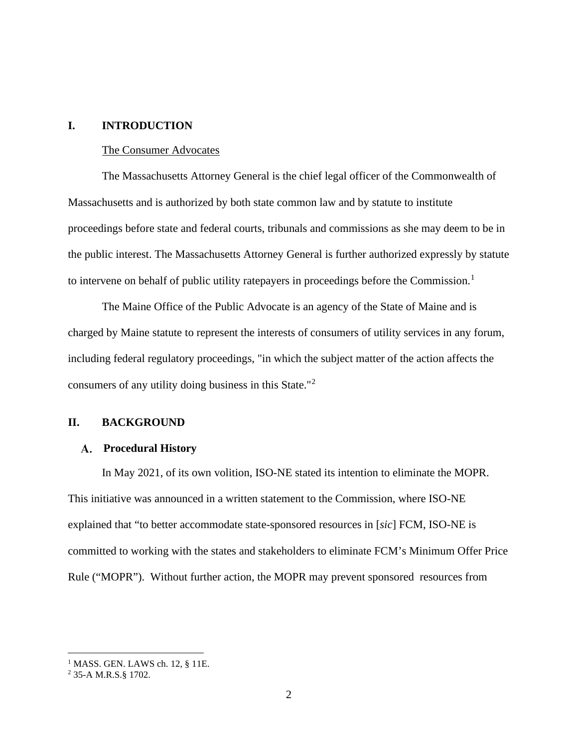### **I. INTRODUCTION**

#### The Consumer Advocates

The Massachusetts Attorney General is the chief legal officer of the Commonwealth of Massachusetts and is authorized by both state common law and by statute to institute proceedings before state and federal courts, tribunals and commissions as she may deem to be in the public interest. The Massachusetts Attorney General is further authorized expressly by statute to intervene on behalf of public utility ratepayers in proceedings before the Commission.<sup>[1](#page-1-0)</sup>

The Maine Office of the Public Advocate is an agency of the State of Maine and is charged by Maine statute to represent the interests of consumers of utility services in any forum, including federal regulatory proceedings, "in which the subject matter of the action affects the consumers of any utility doing business in this State."<sup>[2](#page-1-1)</sup>

## **II. BACKGROUND**

#### **Procedural History**

In May 2021, of its own volition, ISO-NE stated its intention to eliminate the MOPR. This initiative was announced in a written statement to the Commission, where ISO-NE explained that "to better accommodate state-sponsored resources in [*sic*] FCM, ISO-NE is committed to working with the states and stakeholders to eliminate FCM's Minimum Offer Price Rule ("MOPR"). Without further action, the MOPR may prevent sponsored resources from

<span id="page-1-0"></span><sup>&</sup>lt;sup>1</sup> MASS. GEN. LAWS ch. 12, § 11E.

<span id="page-1-1"></span><sup>2</sup> 35-A M.R.S.§ 1702.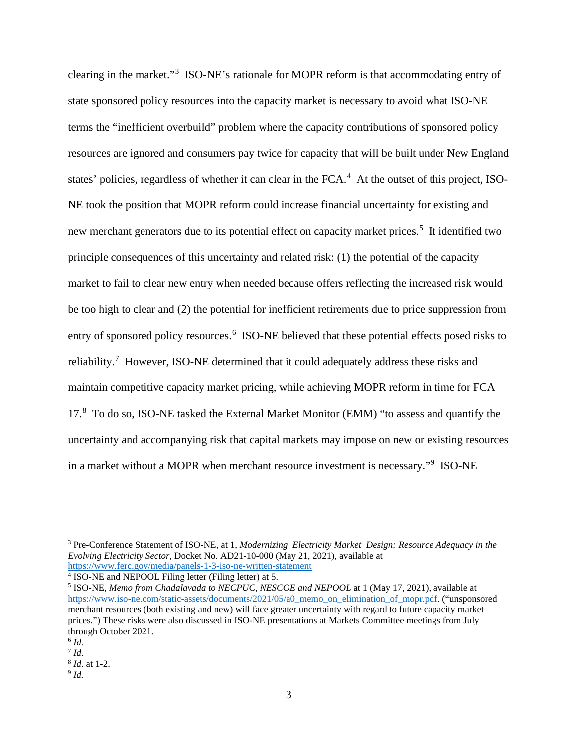clearing in the market."[3](#page-2-0) ISO-NE's rationale for MOPR reform is that accommodating entry of state sponsored policy resources into the capacity market is necessary to avoid what ISO-NE terms the "inefficient overbuild" problem where the capacity contributions of sponsored policy resources are ignored and consumers pay twice for capacity that will be built under New England states' policies, regardless of whether it can clear in the FCA.<sup>[4](#page-2-1)</sup> At the outset of this project, ISO-NE took the position that MOPR reform could increase financial uncertainty for existing and new merchant generators due to its potential effect on capacity market prices.<sup>[5](#page-2-2)</sup> It identified two principle consequences of this uncertainty and related risk: (1) the potential of the capacity market to fail to clear new entry when needed because offers reflecting the increased risk would be too high to clear and (2) the potential for inefficient retirements due to price suppression from entry of sponsored policy resources.<sup>[6](#page-2-3)</sup> ISO-NE believed that these potential effects posed risks to reliability.<sup>[7](#page-2-4)</sup> However, ISO-NE determined that it could adequately address these risks and maintain competitive capacity market pricing, while achieving MOPR reform in time for FCA 17.<sup>[8](#page-2-5)</sup> To do so, ISO-NE tasked the External Market Monitor (EMM) "to assess and quantify the uncertainty and accompanying risk that capital markets may impose on new or existing resources in a market without a MOPR when merchant resource investment is necessary."<sup>[9](#page-2-6)</sup> ISO-NE

<span id="page-2-0"></span><sup>3</sup> Pre-Conference Statement of ISO-NE, at 1, *Modernizing Electricity Market Design: Resource Adequacy in the Evolving Electricity Sector*, Docket No. AD21-10-000 (May 21, 2021), available at <https://www.ferc.gov/media/panels-1-3-iso-ne-written-statement>

<span id="page-2-1"></span><sup>4</sup> ISO-NE and NEPOOL Filing letter (Filing letter) at 5.

<span id="page-2-2"></span><sup>5</sup> ISO-NE, *Memo from Chadalavada to NECPUC, NESCOE and NEPOOL* at 1 (May 17, 2021), available at [https://www.iso-ne.com/static-assets/documents/2021/05/a0\\_memo\\_on\\_elimination\\_of\\_mopr.pdf.](https://www.iso-ne.com/static-assets/documents/2021/05/a0_memo_on_elimination_of_mopr.pdf) ("unsponsored merchant resources (both existing and new) will face greater uncertainty with regard to future capacity market prices.") These risks were also discussed in ISO-NE presentations at Markets Committee meetings from July through October 2021.

<span id="page-2-3"></span> $^{6}$  *Id.*<br> $^{7}$  *Id.* 

<span id="page-2-5"></span><span id="page-2-4"></span>

<sup>7</sup> *Id*. 8 *Id*. at 1-2.

<span id="page-2-6"></span> $9$  *Id.*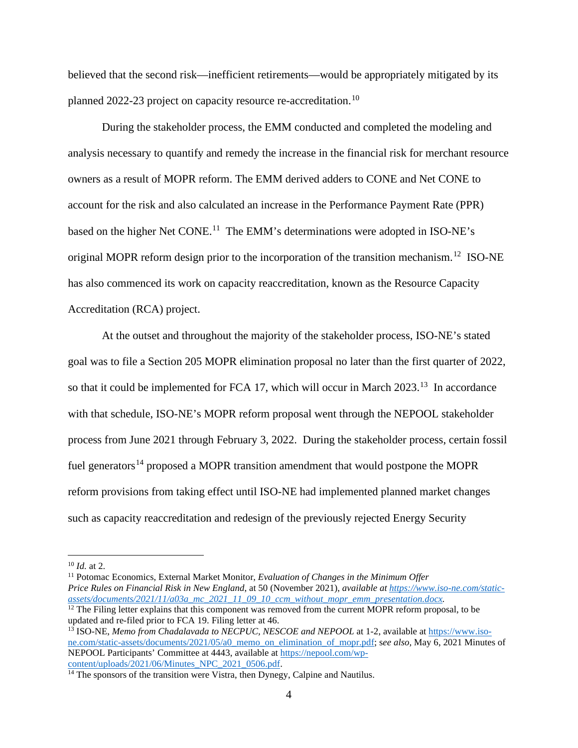believed that the second risk—inefficient retirements—would be appropriately mitigated by its planned 2022-23 project on capacity resource re-accreditation.<sup>[10](#page-3-0)</sup>

During the stakeholder process, the EMM conducted and completed the modeling and analysis necessary to quantify and remedy the increase in the financial risk for merchant resource owners as a result of MOPR reform. The EMM derived adders to CONE and Net CONE to account for the risk and also calculated an increase in the Performance Payment Rate (PPR) based on the higher Net CONE.<sup>[11](#page-3-1)</sup> The EMM's determinations were adopted in ISO-NE's original MOPR reform design prior to the incorporation of the transition mechanism.<sup>12</sup> ISO-NE has also commenced its work on capacity reaccreditation, known as the Resource Capacity Accreditation (RCA) project.

At the outset and throughout the majority of the stakeholder process, ISO-NE's stated goal was to file a Section 205 MOPR elimination proposal no later than the first quarter of 2022, so that it could be implemented for FCA 17, which will occur in March 2023.<sup>[13](#page-3-3)</sup> In accordance with that schedule, ISO-NE's MOPR reform proposal went through the NEPOOL stakeholder process from June 2021 through February 3, 2022. During the stakeholder process, certain fossil fuel generators<sup>[14](#page-3-4)</sup> proposed a MOPR transition amendment that would postpone the MOPR reform provisions from taking effect until ISO-NE had implemented planned market changes such as capacity reaccreditation and redesign of the previously rejected Energy Security

<span id="page-3-1"></span><sup>11</sup> Potomac Economics, External Market Monitor, *Evaluation of Changes in the Minimum Offer Price Rules on Financial Risk in New England*, at 50 (November 2021), *available at [https://www.iso-ne.com/static](https://www.iso-ne.com/static-assets/documents/2021/11/a03a_mc_2021_11_09_10_ccm_without_mopr_emm_presentation.docx)[assets/documents/2021/11/a03a\\_mc\\_2021\\_11\\_09\\_10\\_ccm\\_without\\_mopr\\_emm\\_presentation.docx.](https://www.iso-ne.com/static-assets/documents/2021/11/a03a_mc_2021_11_09_10_ccm_without_mopr_emm_presentation.docx)*

<span id="page-3-0"></span><sup>10</sup> *Id.* at 2.

<span id="page-3-2"></span> $12$  The Filing letter explains that this component was removed from the current MOPR reform proposal, to be updated and re-filed prior to FCA 19. Filing letter at 46.

<span id="page-3-3"></span><sup>13</sup> ISO-NE, *Memo from Chadalavada to NECPUC, NESCOE and NEPOOL* at 1-2, available at [https://www.iso](https://www.iso-ne.com/static-assets/documents/2021/05/a0_memo_on_elimination_of_mopr.pdf)[ne.com/static-assets/documents/2021/05/a0\\_memo\\_on\\_elimination\\_of\\_mopr.pdf;](https://www.iso-ne.com/static-assets/documents/2021/05/a0_memo_on_elimination_of_mopr.pdf) s*ee also,* May 6, 2021 Minutes of NEPOOL Participants' Committee at 4443, available at [https://nepool.com/wp](https://nepool.com/wp-content/uploads/2021/06/Minutes_NPC_2021_0506.pdf)[content/uploads/2021/06/Minutes\\_NPC\\_2021\\_0506.pdf.](https://nepool.com/wp-content/uploads/2021/06/Minutes_NPC_2021_0506.pdf)

<span id="page-3-4"></span> $14$  The sponsors of the transition were Vistra, then Dynegy, Calpine and Nautilus.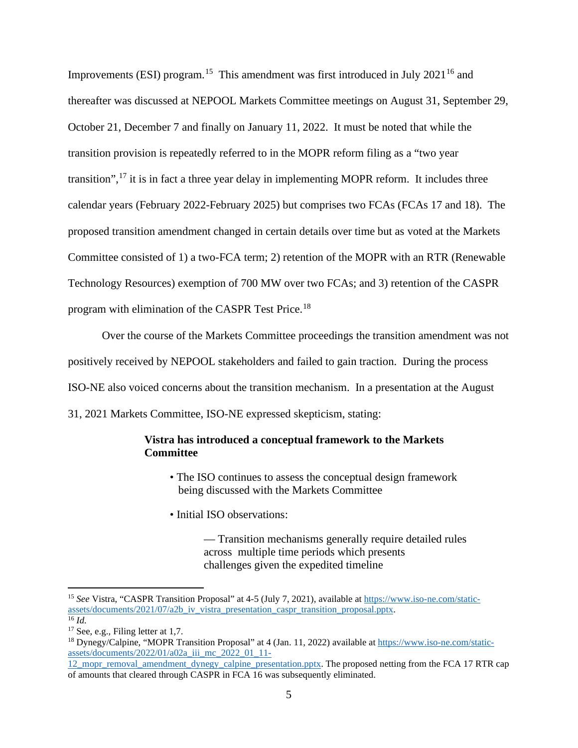Improvements (ESI) program.<sup>15</sup> This amendment was first introduced in July 2021<sup>[16](#page-4-1)</sup> and thereafter was discussed at NEPOOL Markets Committee meetings on August 31, September 29, October 21, December 7 and finally on January 11, 2022. It must be noted that while the transition provision is repeatedly referred to in the MOPR reform filing as a "two year transition",<sup>[17](#page-4-2)</sup> it is in fact a three year delay in implementing MOPR reform. It includes three calendar years (February 2022-February 2025) but comprises two FCAs (FCAs 17 and 18). The proposed transition amendment changed in certain details over time but as voted at the Markets Committee consisted of 1) a two-FCA term; 2) retention of the MOPR with an RTR (Renewable Technology Resources) exemption of 700 MW over two FCAs; and 3) retention of the CASPR program with elimination of the CASPR Test Price.<sup>[18](#page-4-3)</sup>

Over the course of the Markets Committee proceedings the transition amendment was not positively received by NEPOOL stakeholders and failed to gain traction. During the process ISO-NE also voiced concerns about the transition mechanism. In a presentation at the August 31, 2021 Markets Committee, ISO-NE expressed skepticism, stating:

# **Vistra has introduced a conceptual framework to the Markets Committee**

- The ISO continues to assess the conceptual design framework being discussed with the Markets Committee
- Initial ISO observations:

— Transition mechanisms generally require detailed rules across multiple time periods which presents challenges given the expedited timeline

<span id="page-4-0"></span><sup>&</sup>lt;sup>15</sup> See Vistra, "CASPR Transition Proposal" at 4-5 (July 7, 2021), available a[t https://www.iso-ne.com/static](https://www.iso-ne.com/static-assets/documents/2021/07/a2b_iv_vistra_presentation_caspr_transition_proposal.pptx)[assets/documents/2021/07/a2b\\_iv\\_vistra\\_presentation\\_caspr\\_transition\\_proposal.pptx.](https://www.iso-ne.com/static-assets/documents/2021/07/a2b_iv_vistra_presentation_caspr_transition_proposal.pptx)  $\overline{^{16}$  *Id.* 

<span id="page-4-2"></span><span id="page-4-1"></span><sup>&</sup>lt;sup>17</sup> See, e.g., Filing letter at 1,7.

<span id="page-4-3"></span><sup>18</sup> Dynegy/Calpine, "MOPR Transition Proposal" at 4 (Jan. 11, 2022) available a[t https://www.iso-ne.com/static](https://www.iso-ne.com/static-assets/documents/2022/01/a02a_iii_mc_2022_01_11-12_mopr_removal_amendment_dynegy_calpine_presentation.pptx)[assets/documents/2022/01/a02a\\_iii\\_mc\\_2022\\_01\\_11-](https://www.iso-ne.com/static-assets/documents/2022/01/a02a_iii_mc_2022_01_11-12_mopr_removal_amendment_dynegy_calpine_presentation.pptx)

[<sup>12</sup>\\_mopr\\_removal\\_amendment\\_dynegy\\_calpine\\_presentation.pptx.](https://www.iso-ne.com/static-assets/documents/2022/01/a02a_iii_mc_2022_01_11-12_mopr_removal_amendment_dynegy_calpine_presentation.pptx) The proposed netting from the FCA 17 RTR cap of amounts that cleared through CASPR in FCA 16 was subsequently eliminated.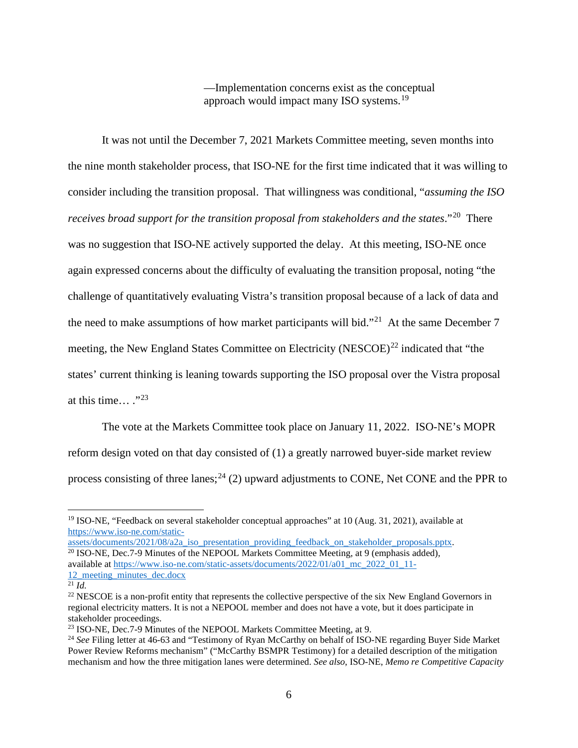—Implementation concerns exist as the conceptual approach would impact many ISO systems.<sup>[19](#page-5-0)</sup>

It was not until the December 7, 2021 Markets Committee meeting, seven months into the nine month stakeholder process, that ISO-NE for the first time indicated that it was willing to consider including the transition proposal. That willingness was conditional, "*assuming the ISO receives broad support for the transition proposal from stakeholders and the states*."[20](#page-5-1) There was no suggestion that ISO-NE actively supported the delay. At this meeting, ISO-NE once again expressed concerns about the difficulty of evaluating the transition proposal, noting "the challenge of quantitatively evaluating Vistra's transition proposal because of a lack of data and the need to make assumptions of how market participants will bid."<sup>21</sup> At the same December 7 meeting, the New England States Committee on Electricity (NESCOE)<sup>[22](#page-5-3)</sup> indicated that "the states' current thinking is leaning towards supporting the ISO proposal over the Vistra proposal at this time...  $.^{"23}$  $.^{"23}$  $.^{"23}$ 

The vote at the Markets Committee took place on January 11, 2022. ISO-NE's MOPR reform design voted on that day consisted of (1) a greatly narrowed buyer-side market review process consisting of three lanes;<sup>[24](#page-5-5)</sup> (2) upward adjustments to CONE, Net CONE and the PPR to

<span id="page-5-1"></span>[assets/documents/2021/08/a2a\\_iso\\_presentation\\_providing\\_feedback\\_on\\_stakeholder\\_proposals.pptx.](https://www.iso-ne.com/static-assets/documents/2021/08/a2a_iso_presentation_providing_feedback_on_stakeholder_proposals.pptx) <sup>20</sup> ISO-NE, Dec.7-9 Minutes of the NEPOOL Markets Committee Meeting, at 9 (emphasis added)*,* available at [https://www.iso-ne.com/static-assets/documents/2022/01/a01\\_mc\\_2022\\_01\\_11-](https://www.iso-ne.com/static-assets/documents/2022/01/a01_mc_2022_01_11-12_meeting_minutes_dec.docx)

<span id="page-5-0"></span><sup>&</sup>lt;sup>19</sup> ISO-NE, "Feedback on several stakeholder conceptual approaches" at 10 (Aug. 31, 2021), available at [https://www.iso-ne.com/static-](https://www.iso-ne.com/static-assets/documents/2021/08/a2a_iso_presentation_providing_feedback_on_stakeholder_proposals.pptx)

[<sup>12</sup>\\_meeting\\_minutes\\_dec.docx](https://www.iso-ne.com/static-assets/documents/2022/01/a01_mc_2022_01_11-12_meeting_minutes_dec.docx)

<span id="page-5-2"></span> $\overline{\overline{21} \, Id.}$ 

<span id="page-5-3"></span><sup>&</sup>lt;sup>22</sup> NESCOE is a non-profit entity that represents the collective perspective of the six New England Governors in regional electricity matters. It is not a NEPOOL member and does not have a vote, but it does participate in stakeholder proceedings.

<span id="page-5-4"></span><sup>&</sup>lt;sup>23</sup> ISO-NE, Dec.7-9 Minutes of the NEPOOL Markets Committee Meeting, at 9.

<span id="page-5-5"></span><sup>&</sup>lt;sup>24</sup> See Filing letter at 46-63 and "Testimony of Ryan McCarthy on behalf of ISO-NE regarding Buyer Side Market Power Review Reforms mechanism" ("McCarthy BSMPR Testimony) for a detailed description of the mitigation mechanism and how the three mitigation lanes were determined. *See also*, ISO-NE, *Memo re Competitive Capacity*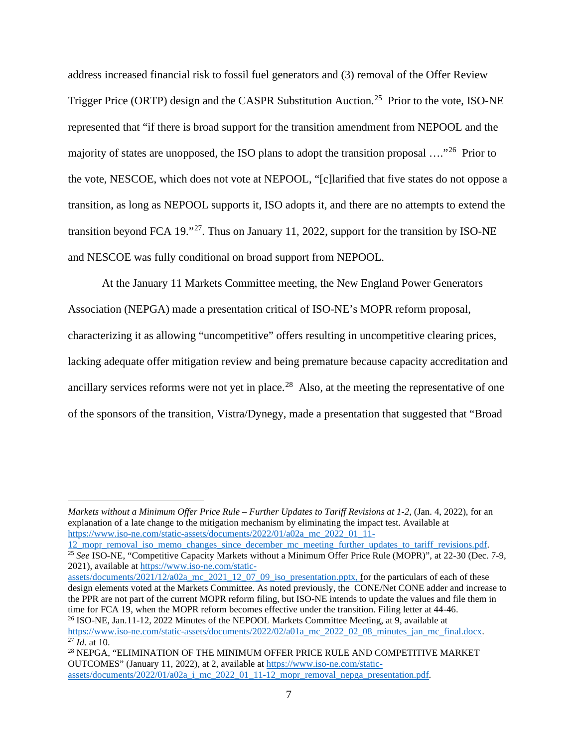address increased financial risk to fossil fuel generators and (3) removal of the Offer Review Trigger Price (ORTP) design and the CASPR Substitution Auction. [25](#page-6-0) Prior to the vote, ISO-NE represented that "if there is broad support for the transition amendment from NEPOOL and the majority of states are unopposed, the ISO plans to adopt the transition proposal  $\ldots$ <sup>[26](#page-6-1)</sup> Prior to the vote, NESCOE, which does not vote at NEPOOL, "[c]larified that five states do not oppose a transition, as long as NEPOOL supports it, ISO adopts it, and there are no attempts to extend the transition beyond FCA 19."<sup>[27](#page-6-2)</sup>. Thus on January 11, 2022, support for the transition by ISO-NE and NESCOE was fully conditional on broad support from NEPOOL.

At the January 11 Markets Committee meeting, the New England Power Generators Association (NEPGA) made a presentation critical of ISO-NE's MOPR reform proposal, characterizing it as allowing "uncompetitive" offers resulting in uncompetitive clearing prices, lacking adequate offer mitigation review and being premature because capacity accreditation and ancillary services reforms were not yet in place.<sup>28</sup> Also, at the meeting the representative of one of the sponsors of the transition, Vistra/Dynegy, made a presentation that suggested that "Broad

<span id="page-6-0"></span>[12\\_mopr\\_removal\\_iso\\_memo\\_changes\\_since\\_december\\_mc\\_meeting\\_further\\_updates\\_to\\_tariff\\_revisions.pdf.](https://www.iso-ne.com/static-assets/documents/2022/01/a02a_mc_2022_01_11-12_mopr_removal_iso_memo_changes_since_december_mc_meeting_further_updates_to_tariff_revisions.pdf) <sup>25</sup> See ISO-NE, "Competitive Capacity Markets without a Minimum Offer Price Rule (MOPR)", at 22-30 (Dec. 7-9, 2021), available a[t https://www.iso-ne.com/static-](https://www.iso-ne.com/static-assets/documents/2021/12/a02a_mc_2021_12_07_09_iso_presentation.pptx)

[assets/documents/2021/12/a02a\\_mc\\_2021\\_12\\_07\\_09\\_iso\\_presentation.pptx,](https://www.iso-ne.com/static-assets/documents/2021/12/a02a_mc_2021_12_07_09_iso_presentation.pptx) for the particulars of each of these design elements voted at the Markets Committee. As noted previously, the CONE/Net CONE adder and increase to the PPR are not part of the current MOPR reform filing, but ISO-NE intends to update the values and file them in time for FCA 19, when the MOPR reform becomes effective under the transition. Filing letter at 44-46. <sup>26</sup> ISO-NE, Jan.11-12, 2022 Minutes of the NEPOOL Markets Committee Meeting, at 9, available at [https://www.iso-ne.com/static-assets/documents/2022/02/a01a\\_mc\\_2022\\_02\\_08\\_minutes\\_jan\\_mc\\_final.docx.](https://www.iso-ne.com/static-assets/documents/2022/02/a01a_mc_2022_02_08_minutes_jan_mc_final.docx)<br><sup>27</sup> *Id.* at 10.

*Markets without a Minimum Offer Price Rule – Further Updates to Tariff Revisions at 1-2,* (Jan. 4, 2022), for an explanation of a late change to the mitigation mechanism by eliminating the impact test. Available at [https://www.iso-ne.com/static-assets/documents/2022/01/a02a\\_mc\\_2022\\_01\\_11-](https://www.iso-ne.com/static-assets/documents/2022/01/a02a_mc_2022_01_11-12_mopr_removal_iso_memo_changes_since_december_mc_meeting_further_updates_to_tariff_revisions.pdf)

<span id="page-6-2"></span><span id="page-6-1"></span>

<span id="page-6-3"></span><sup>&</sup>lt;sup>28</sup> NEPGA, "ELIMINATION OF THE MINIMUM OFFER PRICE RULE AND COMPETITIVE MARKET OUTCOMES" (January 11, 2022), at 2, available at [https://www.iso-ne.com/static](https://www.iso-ne.com/static-assets/documents/2022/01/a02a_i_mc_2022_01_11-12_mopr_removal_nepga_presentation.pdf)[assets/documents/2022/01/a02a\\_i\\_mc\\_2022\\_01\\_11-12\\_mopr\\_removal\\_nepga\\_presentation.pdf.](https://www.iso-ne.com/static-assets/documents/2022/01/a02a_i_mc_2022_01_11-12_mopr_removal_nepga_presentation.pdf)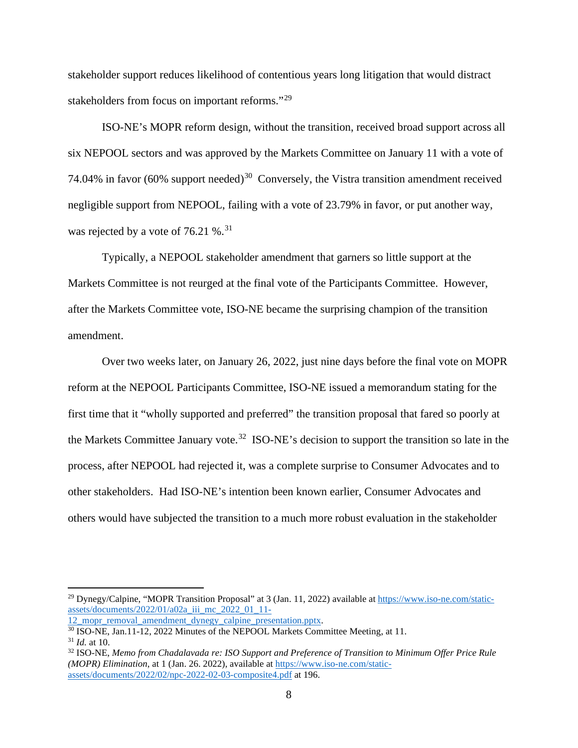stakeholder support reduces likelihood of contentious years long litigation that would distract stakeholders from focus on important reforms."<sup>[29](#page-7-0)</sup>

ISO-NE's MOPR reform design, without the transition, received broad support across all six NEPOOL sectors and was approved by the Markets Committee on January 11 with a vote of 74.04% in favor (60% support needed)<sup>[30](#page-7-1)</sup> Conversely, the Vistra transition amendment received negligible support from NEPOOL, failing with a vote of 23.79% in favor, or put another way, was rejected by a vote of 76.21 %.<sup>[31](#page-7-2)</sup>

Typically, a NEPOOL stakeholder amendment that garners so little support at the Markets Committee is not reurged at the final vote of the Participants Committee. However, after the Markets Committee vote, ISO-NE became the surprising champion of the transition amendment.

Over two weeks later, on January 26, 2022, just nine days before the final vote on MOPR reform at the NEPOOL Participants Committee, ISO-NE issued a memorandum stating for the first time that it "wholly supported and preferred" the transition proposal that fared so poorly at the Markets Committee January vote.<sup>[32](#page-7-3)</sup> ISO-NE's decision to support the transition so late in the process, after NEPOOL had rejected it, was a complete surprise to Consumer Advocates and to other stakeholders. Had ISO-NE's intention been known earlier, Consumer Advocates and others would have subjected the transition to a much more robust evaluation in the stakeholder

<span id="page-7-0"></span><sup>&</sup>lt;sup>29</sup> Dynegy/Calpine, "MOPR Transition Proposal" at 3 (Jan. 11, 2022) available a[t https://www.iso-ne.com/static](https://www.iso-ne.com/static-assets/documents/2022/01/a02a_iii_mc_2022_01_11-12_mopr_removal_amendment_dynegy_calpine_presentation.pptx)[assets/documents/2022/01/a02a\\_iii\\_mc\\_2022\\_01\\_11-](https://www.iso-ne.com/static-assets/documents/2022/01/a02a_iii_mc_2022_01_11-12_mopr_removal_amendment_dynegy_calpine_presentation.pptx)

[<sup>12</sup>\\_mopr\\_removal\\_amendment\\_dynegy\\_calpine\\_presentation.pptx.](https://www.iso-ne.com/static-assets/documents/2022/01/a02a_iii_mc_2022_01_11-12_mopr_removal_amendment_dynegy_calpine_presentation.pptx)<br><sup>30</sup> ISO-NE, Jan.11-12, 2022 Minutes of the NEPOOL Markets Committee Meeting, at 11.

<span id="page-7-1"></span>

<span id="page-7-3"></span><span id="page-7-2"></span><sup>&</sup>lt;sup>31</sup> Id. at 10.<br><sup>32</sup> ISO-NE, Memo from Chadalavada re: ISO Support and Preference of Transition to Minimum Offer Price Rule *(MOPR) Elimination*, at 1 (Jan. 26. 2022), available a[t https://www.iso-ne.com/static](https://www.iso-ne.com/static-assets/documents/2022/02/npc-2022-02-03-composite4.pdf)[assets/documents/2022/02/npc-2022-02-03-composite4.pdf](https://www.iso-ne.com/static-assets/documents/2022/02/npc-2022-02-03-composite4.pdf) at 196.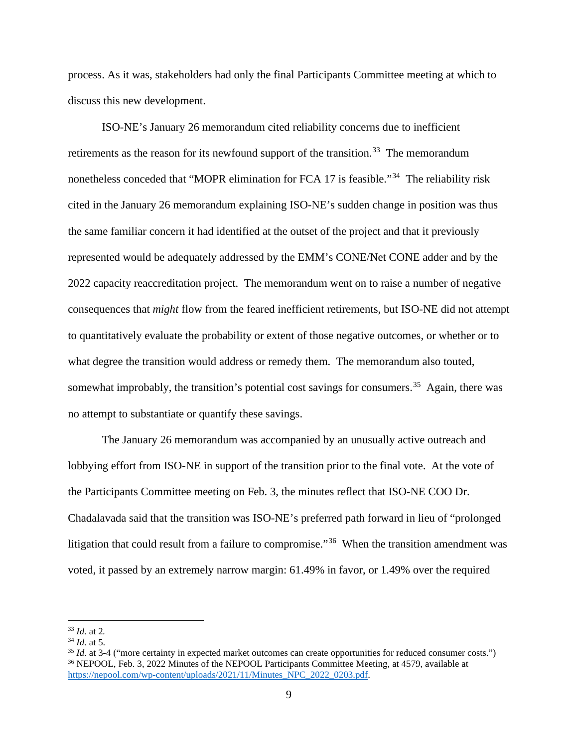process. As it was, stakeholders had only the final Participants Committee meeting at which to discuss this new development.

ISO-NE's January 26 memorandum cited reliability concerns due to inefficient retirements as the reason for its newfound support of the transition.<sup>33</sup> The memorandum nonetheless conceded that "MOPR elimination for FCA 17 is feasible."[34](#page-8-1) The reliability risk cited in the January 26 memorandum explaining ISO-NE's sudden change in position was thus the same familiar concern it had identified at the outset of the project and that it previously represented would be adequately addressed by the EMM's CONE/Net CONE adder and by the 2022 capacity reaccreditation project. The memorandum went on to raise a number of negative consequences that *might* flow from the feared inefficient retirements, but ISO-NE did not attempt to quantitatively evaluate the probability or extent of those negative outcomes, or whether or to what degree the transition would address or remedy them. The memorandum also touted, somewhat improbably, the transition's potential cost savings for consumers.<sup>[35](#page-8-2)</sup> Again, there was no attempt to substantiate or quantify these savings.

The January 26 memorandum was accompanied by an unusually active outreach and lobbying effort from ISO-NE in support of the transition prior to the final vote. At the vote of the Participants Committee meeting on Feb. 3, the minutes reflect that ISO-NE COO Dr. Chadalavada said that the transition was ISO-NE's preferred path forward in lieu of "prolonged litigation that could result from a failure to compromise."[36](#page-8-3) When the transition amendment was voted, it passed by an extremely narrow margin: 61.49% in favor, or 1.49% over the required

<span id="page-8-0"></span><sup>33</sup> *Id.* at 2*.*

<span id="page-8-3"></span><span id="page-8-2"></span><span id="page-8-1"></span><sup>&</sup>lt;sup>34</sup> *Id.* at 5.<br><sup>35</sup> *Id.* at 3-4 ("more certainty in expected market outcomes can create opportunities for reduced consumer costs.")<br><sup>36</sup> NEPOOL, Feb. 3, 2022 Minutes of the NEPOOL Participants Committee Meeting, at 457 [https://nepool.com/wp-content/uploads/2021/11/Minutes\\_NPC\\_2022\\_0203.pdf.](https://nepool.com/wp-content/uploads/2021/11/Minutes_NPC_2022_0203.pdf)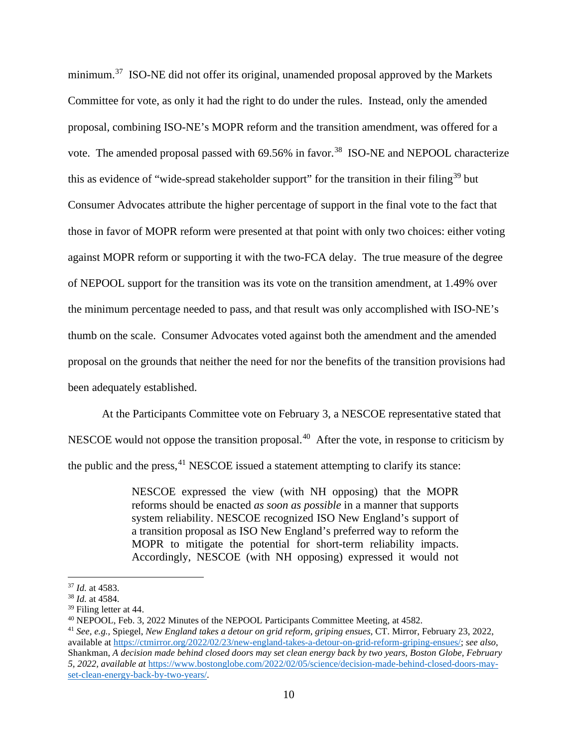minimum.<sup>[37](#page-9-0)</sup> ISO-NE did not offer its original, unamended proposal approved by the Markets Committee for vote, as only it had the right to do under the rules. Instead, only the amended proposal, combining ISO-NE's MOPR reform and the transition amendment, was offered for a vote. The amended proposal passed with  $69.56\%$  in favor.<sup>[38](#page-9-1)</sup> ISO-NE and NEPOOL characterize this as evidence of "wide-spread stakeholder support" for the transition in their filing<sup>[39](#page-9-2)</sup> but Consumer Advocates attribute the higher percentage of support in the final vote to the fact that those in favor of MOPR reform were presented at that point with only two choices: either voting against MOPR reform or supporting it with the two-FCA delay. The true measure of the degree of NEPOOL support for the transition was its vote on the transition amendment, at 1.49% over the minimum percentage needed to pass, and that result was only accomplished with ISO-NE's thumb on the scale. Consumer Advocates voted against both the amendment and the amended proposal on the grounds that neither the need for nor the benefits of the transition provisions had been adequately established.

At the Participants Committee vote on February 3, a NESCOE representative stated that NESCOE would not oppose the transition proposal.<sup>40</sup> After the vote, in response to criticism by the public and the press, <sup>[41](#page-9-4)</sup> NESCOE issued a statement attempting to clarify its stance:

> NESCOE expressed the view (with NH opposing) that the MOPR reforms should be enacted *as soon as possible* in a manner that supports system reliability. NESCOE recognized ISO New England's support of a transition proposal as ISO New England's preferred way to reform the MOPR to mitigate the potential for short-term reliability impacts. Accordingly, NESCOE (with NH opposing) expressed it would not

<span id="page-9-0"></span><sup>37</sup> *Id.* at 4583.

<span id="page-9-1"></span><sup>&</sup>lt;sup>38</sup> *Id.* at 4584.<br><sup>39</sup> Filing letter at 44.

<span id="page-9-3"></span><span id="page-9-2"></span><sup>&</sup>lt;sup>40</sup> NEPOOL, Feb. 3, 2022 Minutes of the NEPOOL Participants Committee Meeting, at 4582.

<span id="page-9-4"></span><sup>41</sup> *See, e.g.,* Spiegel, *New England takes a detour on grid reform, griping ensues,* CT. Mirror, February 23, 2022, available at [https://ctmirror.org/2022/02/23/new-england-takes-a-detour-on-grid-reform-griping-ensues/;](https://ctmirror.org/2022/02/23/new-england-takes-a-detour-on-grid-reform-griping-ensues/) *see also*, Shankman, *A decision made behind closed doors may set clean energy back by two years, Boston Globe, February 5, 2022, available at* [https://www.bostonglobe.com/2022/02/05/science/decision-made-behind-closed-doors-may](https://www.bostonglobe.com/2022/02/05/science/decision-made-behind-closed-doors-may-set-clean-energy-back-by-two-years/)[set-clean-energy-back-by-two-years/.](https://www.bostonglobe.com/2022/02/05/science/decision-made-behind-closed-doors-may-set-clean-energy-back-by-two-years/)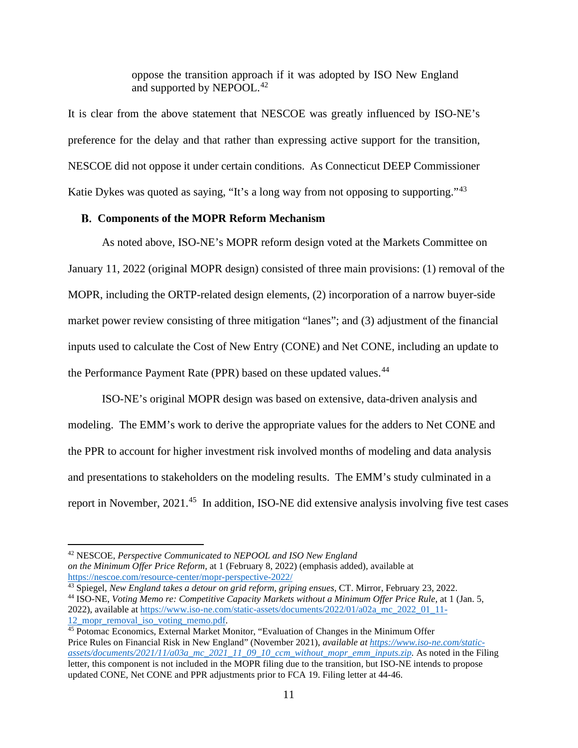oppose the transition approach if it was adopted by ISO New England and supported by NEPOOL.<sup>[42](#page-10-0)</sup>

It is clear from the above statement that NESCOE was greatly influenced by ISO-NE's preference for the delay and that rather than expressing active support for the transition, NESCOE did not oppose it under certain conditions. As Connecticut DEEP Commissioner Katie Dykes was quoted as saying, "It's a long way from not opposing to supporting."<sup>[43](#page-10-1)</sup>

## **Components of the MOPR Reform Mechanism**

As noted above, ISO-NE's MOPR reform design voted at the Markets Committee on January 11, 2022 (original MOPR design) consisted of three main provisions: (1) removal of the MOPR, including the ORTP-related design elements, (2) incorporation of a narrow buyer-side market power review consisting of three mitigation "lanes"; and (3) adjustment of the financial inputs used to calculate the Cost of New Entry (CONE) and Net CONE, including an update to the Performance Payment Rate (PPR) based on these updated values.<sup>[44](#page-10-2)</sup>

ISO-NE's original MOPR design was based on extensive, data-driven analysis and modeling. The EMM's work to derive the appropriate values for the adders to Net CONE and the PPR to account for higher investment risk involved months of modeling and data analysis and presentations to stakeholders on the modeling results. The EMM's study culminated in a report in November, 2021.[45](#page-10-3) In addition, ISO-NE did extensive analysis involving five test cases

<span id="page-10-0"></span><sup>42</sup> NESCOE, *Perspective Communicated to NEPOOL and ISO New England on the Minimum Offer Price Reform,* at 1 (February 8, 2022) (emphasis added), available at <https://nescoe.com/resource-center/mopr-perspective-2022/>

<span id="page-10-1"></span><sup>43</sup> Spiegel, *New England takes a detour on grid reform, griping ensues,* CT. Mirror, February 23, 2022.

<span id="page-10-2"></span><sup>44</sup> ISO-NE, *Voting Memo re: Competitive Capacity Markets without a Minimum Offer Price Rule,* at 1 (Jan. 5, 2022), available a[t https://www.iso-ne.com/static-assets/documents/2022/01/a02a\\_mc\\_2022\\_01\\_11-](https://www.iso-ne.com/static-assets/documents/2022/01/a02a_mc_2022_01_11-12_mopr_removal_iso_voting_memo.pdf) 12 mopr removal iso voting memo.pdf.

<span id="page-10-3"></span><sup>45</sup> Potomac Economics, External Market Monitor, "Evaluation of Changes in the Minimum Offer Price Rules on Financial Risk in New England" (November 2021), *available at [https://www.iso-ne.com/static](https://www.iso-ne.com/static-assets/documents/2021/11/a03a_mc_2021_11_09_10_ccm_without_mopr_emm_inputs.zip)[assets/documents/2021/11/a03a\\_mc\\_2021\\_11\\_09\\_10\\_ccm\\_without\\_mopr\\_emm\\_inputs.zip.](https://www.iso-ne.com/static-assets/documents/2021/11/a03a_mc_2021_11_09_10_ccm_without_mopr_emm_inputs.zip)* As noted in the Filing letter, this component is not included in the MOPR filing due to the transition, but ISO-NE intends to propose updated CONE, Net CONE and PPR adjustments prior to FCA 19. Filing letter at 44-46.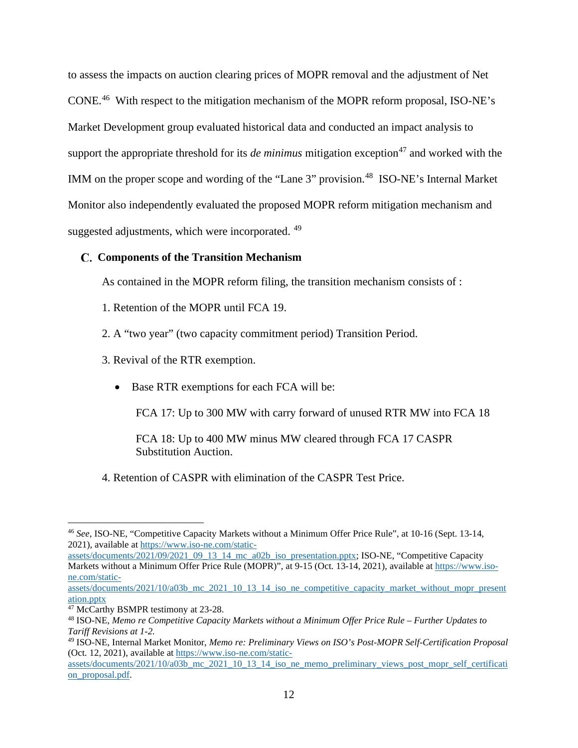to assess the impacts on auction clearing prices of MOPR removal and the adjustment of Net CONE.[46](#page-11-0) With respect to the mitigation mechanism of the MOPR reform proposal, ISO-NE's Market Development group evaluated historical data and conducted an impact analysis to support the appropriate threshold for its *de minimus* mitigation exception<sup>[47](#page-11-1)</sup> and worked with the IMM on the proper scope and wording of the "Lane 3" provision.<sup>[48](#page-11-2)</sup> ISO-NE's Internal Market Monitor also independently evaluated the proposed MOPR reform mitigation mechanism and suggested adjustments, which were incorporated. <sup>[49](#page-11-3)</sup>

### **C.** Components of the Transition Mechanism

As contained in the MOPR reform filing, the transition mechanism consists of :

- 1. Retention of the MOPR until FCA 19.
- 2. A "two year" (two capacity commitment period) Transition Period.
- 3. Revival of the RTR exemption.
	- Base RTR exemptions for each FCA will be:

FCA 17: Up to 300 MW with carry forward of unused RTR MW into FCA 18

FCA 18: Up to 400 MW minus MW cleared through FCA 17 CASPR Substitution Auction.

4. Retention of CASPR with elimination of the CASPR Test Price.

[assets/documents/2021/10/a03b\\_mc\\_2021\\_10\\_13\\_14\\_iso\\_ne\\_competitive\\_capacity\\_market\\_without\\_mopr\\_present](https://www.iso-ne.com/static-assets/documents/2021/10/a03b_mc_2021_10_13_14_iso_ne_competitive_capacity_market_without_mopr_presentation.pptx) [ation.pptx](https://www.iso-ne.com/static-assets/documents/2021/10/a03b_mc_2021_10_13_14_iso_ne_competitive_capacity_market_without_mopr_presentation.pptx)

<span id="page-11-0"></span><sup>46</sup> *See*, ISO-NE, "Competitive Capacity Markets without a Minimum Offer Price Rule", at 10-16 (Sept. 13-14, 2021), available a[t https://www.iso-ne.com/static-](https://www.iso-ne.com/static-assets/documents/2021/09/2021_09_13_14_mc_a02b_iso_presentation.pptx)

[assets/documents/2021/09/2021\\_09\\_13\\_14\\_mc\\_a02b\\_iso\\_presentation.pptx;](https://www.iso-ne.com/static-assets/documents/2021/09/2021_09_13_14_mc_a02b_iso_presentation.pptx) ISO-NE, "Competitive Capacity Markets without a Minimum Offer Price Rule (MOPR)", at 9-15 (Oct. 13-14, 2021), available at [https://www.iso](https://www.iso-ne.com/static-assets/documents/2021/10/a03b_mc_2021_10_13_14_iso_ne_competitive_capacity_market_without_mopr_presentation.pptx)[ne.com/static-](https://www.iso-ne.com/static-assets/documents/2021/10/a03b_mc_2021_10_13_14_iso_ne_competitive_capacity_market_without_mopr_presentation.pptx)

<span id="page-11-1"></span><sup>&</sup>lt;sup>47</sup> McCarthy BSMPR testimony at 23-28.

<span id="page-11-2"></span><sup>48</sup> ISO-NE, *Memo re Competitive Capacity Markets without a Minimum Offer Price Rule – Further Updates to Tariff Revisions at 1-2.*

<span id="page-11-3"></span><sup>49</sup> ISO-NE, Internal Market Monitor, *Memo re: Preliminary Views on ISO's Post-MOPR Self-Certification Proposal* (Oct. 12, 2021), available at [https://www.iso-ne.com/static-](https://www.iso-ne.com/static-assets/documents/2021/10/a03b_mc_2021_10_13_14_iso_ne_memo_preliminary_views_post_mopr_self_certification_proposal.pdf)

[assets/documents/2021/10/a03b\\_mc\\_2021\\_10\\_13\\_14\\_iso\\_ne\\_memo\\_preliminary\\_views\\_post\\_mopr\\_self\\_certificati](https://www.iso-ne.com/static-assets/documents/2021/10/a03b_mc_2021_10_13_14_iso_ne_memo_preliminary_views_post_mopr_self_certification_proposal.pdf) [on\\_proposal.pdf.](https://www.iso-ne.com/static-assets/documents/2021/10/a03b_mc_2021_10_13_14_iso_ne_memo_preliminary_views_post_mopr_self_certification_proposal.pdf)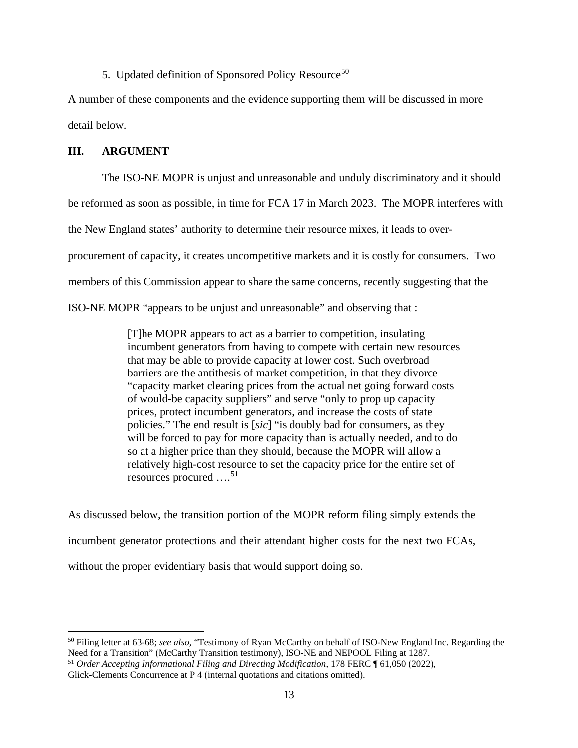5. Updated definition of Sponsored Policy Resource<sup>[50](#page-12-0)</sup>

A number of these components and the evidence supporting them will be discussed in more detail below.

# **III. ARGUMENT**

The ISO-NE MOPR is unjust and unreasonable and unduly discriminatory and it should

be reformed as soon as possible, in time for FCA 17 in March 2023. The MOPR interferes with

the New England states' authority to determine their resource mixes, it leads to over-

procurement of capacity, it creates uncompetitive markets and it is costly for consumers. Two

members of this Commission appear to share the same concerns, recently suggesting that the

ISO-NE MOPR "appears to be unjust and unreasonable" and observing that :

[T]he MOPR appears to act as a barrier to competition, insulating incumbent generators from having to compete with certain new resources that may be able to provide capacity at lower cost. Such overbroad barriers are the antithesis of market competition, in that they divorce "capacity market clearing prices from the actual net going forward costs of would-be capacity suppliers" and serve "only to prop up capacity prices, protect incumbent generators, and increase the costs of state policies." The end result is [*sic*] "is doubly bad for consumers, as they will be forced to pay for more capacity than is actually needed, and to do so at a higher price than they should, because the MOPR will allow a relatively high-cost resource to set the capacity price for the entire set of resources procured  $\dots$ <sup>[51](#page-12-1)</sup>

As discussed below, the transition portion of the MOPR reform filing simply extends the incumbent generator protections and their attendant higher costs for the next two FCAs, without the proper evidentiary basis that would support doing so.

<span id="page-12-0"></span><sup>&</sup>lt;sup>50</sup> Filing letter at 63-68; *see also*, "Testimony of Ryan McCarthy on behalf of ISO-New England Inc. Regarding the Need for a Transition" (McCarthy Transition testimony), ISO-NE and NEPOOL Filing at 1287.

<span id="page-12-1"></span><sup>&</sup>lt;sup>51</sup> Order Accepting Informational Filing and Directing Modification, 178 FERC ¶ 61,050 (2022),

Glick-Clements Concurrence at P 4 (internal quotations and citations omitted).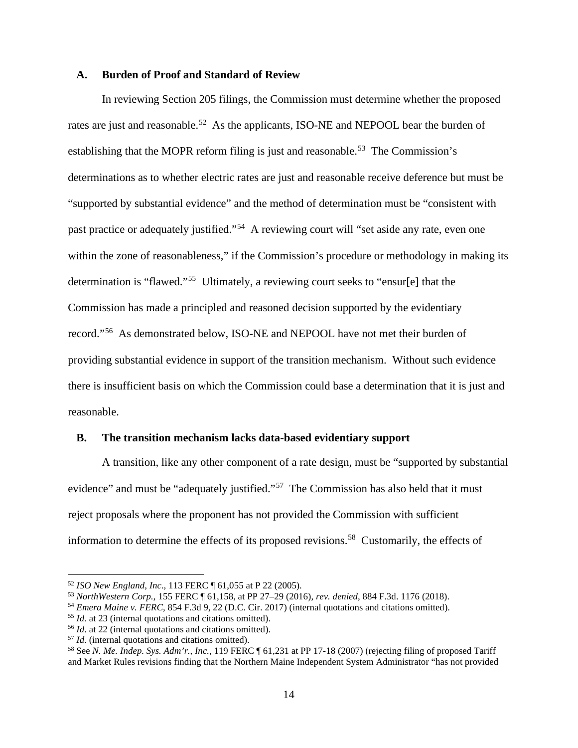### **A. Burden of Proof and Standard of Review**

In reviewing Section 205 filings, the Commission must determine whether the proposed rates are just and reasonable.<sup>52</sup> As the applicants, ISO-NE and NEPOOL bear the burden of establishing that the MOPR reform filing is just and reasonable.<sup>[53](#page-13-1)</sup> The Commission's determinations as to whether electric rates are just and reasonable receive deference but must be "supported by substantial evidence" and the method of determination must be "consistent with past practice or adequately justified."<sup>[54](#page-13-2)</sup> A reviewing court will "set aside any rate, even one within the zone of reasonableness," if the Commission's procedure or methodology in making its determination is "flawed."[55](#page-13-3) Ultimately, a reviewing court seeks to "ensur[e] that the Commission has made a principled and reasoned decision supported by the evidentiary record."[56](#page-13-4) As demonstrated below, ISO-NE and NEPOOL have not met their burden of providing substantial evidence in support of the transition mechanism. Without such evidence there is insufficient basis on which the Commission could base a determination that it is just and reasonable.

# **B. The transition mechanism lacks data-based evidentiary support**

A transition, like any other component of a rate design, must be "supported by substantial evidence" and must be "adequately justified."<sup>[57](#page-13-5)</sup> The Commission has also held that it must reject proposals where the proponent has not provided the Commission with sufficient information to determine the effects of its proposed revisions.<sup>58</sup> Customarily, the effects of

<span id="page-13-1"></span><span id="page-13-0"></span><sup>&</sup>lt;sup>52</sup> ISO New England, Inc., 113 FERC  $\parallel$  61,055 at P 22 (2005).<br><sup>53</sup> NorthWestern Corp., 155 FERC  $\parallel$  61,158, at PP 27–29 (2016), rev. denied, 884 F.3d. 1176 (2018).<br><sup>54</sup> Emera Maine v. FERC, 854 F.3d 9, 22 (D.C. Cir. 2

<span id="page-13-3"></span><span id="page-13-2"></span><sup>55</sup> *Id.* at 23 (internal quotations and citations omitted).

<span id="page-13-4"></span><sup>56</sup> *Id*. at 22 (internal quotations and citations omitted).

<span id="page-13-5"></span><sup>57</sup> *Id*. (internal quotations and citations omitted).

<span id="page-13-6"></span><sup>58</sup> See *N. Me. Indep. Sys. Adm'r., Inc.*, 119 FERC ¶ 61,231 at PP 17-18 (2007) (rejecting filing of proposed Tariff and Market Rules revisions finding that the Northern Maine Independent System Administrator "has not provided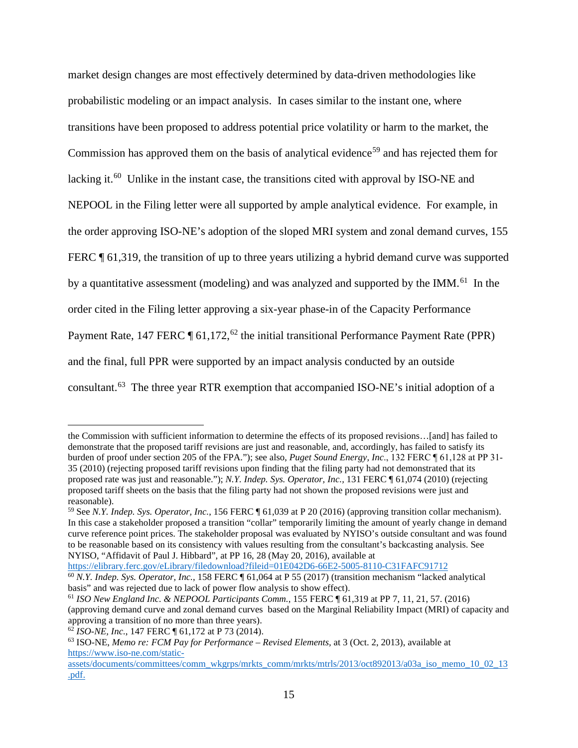market design changes are most effectively determined by data-driven methodologies like probabilistic modeling or an impact analysis. In cases similar to the instant one, where transitions have been proposed to address potential price volatility or harm to the market, the Commission has approved them on the basis of analytical evidence<sup>[59](#page-14-0)</sup> and has rejected them for lacking it.<sup>60</sup> Unlike in the instant case, the transitions cited with approval by ISO-NE and NEPOOL in the Filing letter were all supported by ample analytical evidence. For example, in the order approving ISO-NE's adoption of the sloped MRI system and zonal demand curves, 155 FERC  $\P$  61,319, the transition of up to three years utilizing a hybrid demand curve was supported by a quantitative assessment (modeling) and was analyzed and supported by the IMM.<sup>61</sup> In the order cited in the Filing letter approving a six-year phase-in of the Capacity Performance Payment Rate, 147 FERC ¶ 61,172,<sup>[62](#page-14-3)</sup> the initial transitional Performance Payment Rate (PPR) and the final, full PPR were supported by an impact analysis conducted by an outside consultant.[63](#page-14-4) The three year RTR exemption that accompanied ISO-NE's initial adoption of a

<https://elibrary.ferc.gov/eLibrary/filedownload?fileid=01E042D6-66E2-5005-8110-C31FAFC91712>

the Commission with sufficient information to determine the effects of its proposed revisions…[and] has failed to demonstrate that the proposed tariff revisions are just and reasonable, and, accordingly, has failed to satisfy its burden of proof under section 205 of the FPA."); see also, *Puget Sound Energy, Inc*., 132 FERC ¶ 61,128 at PP 31‐ 35 (2010) (rejecting proposed tariff revisions upon finding that the filing party had not demonstrated that its proposed rate was just and reasonable."); *N.Y. Indep. Sys. Operator, Inc.,* 131 FERC ¶ 61,074 (2010) (rejecting proposed tariff sheets on the basis that the filing party had not shown the proposed revisions were just and reasonable).

<span id="page-14-0"></span><sup>59</sup> See *N.Y. Indep. Sys. Operator, Inc.*, 156 FERC ¶ 61,039 at P 20 (2016) (approving transition collar mechanism). In this case a stakeholder proposed a transition "collar" temporarily limiting the amount of yearly change in demand curve reference point prices. The stakeholder proposal was evaluated by NYISO's outside consultant and was found to be reasonable based on its consistency with values resulting from the consultant's backcasting analysis. See NYISO, "Affidavit of Paul J. Hibbard", at PP 16, 28 (May 20, 2016), available at

<span id="page-14-1"></span><sup>60</sup> *N.Y. Indep. Sys. Operator, Inc.*, 158 FERC ¶ 61,064 at P 55 (2017) (transition mechanism "lacked analytical basis" and was rejected due to lack of power flow analysis to show effect).

<span id="page-14-2"></span><sup>61</sup> *ISO New England Inc. & NEPOOL Participants Comm.*, 155 FERC ¶ 61,319 at PP 7, 11, 21, 57. (2016) (approving demand curve and zonal demand curves based on the Marginal Reliability Impact (MRI) of capacity and approving a transition of no more than three years).

<span id="page-14-3"></span><sup>62</sup> *ISO-NE, Inc.*, 147 FERC ¶ 61,172 at P 73 (2014).

<span id="page-14-4"></span><sup>63</sup> ISO-NE, *Memo re: FCM Pay for Performance – Revised Elements,* at 3 (Oct. 2, 2013), available at [https://www.iso-ne.com/static-](https://www.iso-ne.com/static-assets/documents/committees/comm_wkgrps/mrkts_comm/mrkts/mtrls/2013/oct892013/a03a_iso_memo_10_02_13.pdf)

[assets/documents/committees/comm\\_wkgrps/mrkts\\_comm/mrkts/mtrls/2013/oct892013/a03a\\_iso\\_memo\\_10\\_02\\_13](https://www.iso-ne.com/static-assets/documents/committees/comm_wkgrps/mrkts_comm/mrkts/mtrls/2013/oct892013/a03a_iso_memo_10_02_13.pdf) [.pdf.](https://www.iso-ne.com/static-assets/documents/committees/comm_wkgrps/mrkts_comm/mrkts/mtrls/2013/oct892013/a03a_iso_memo_10_02_13.pdf)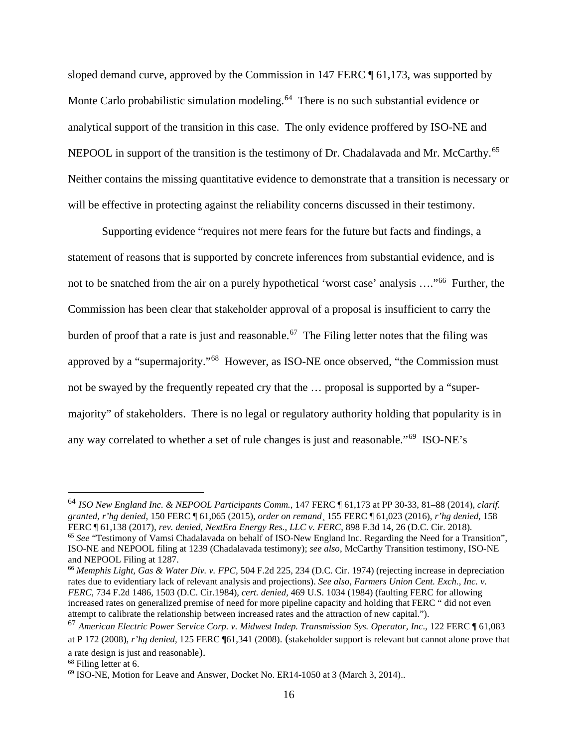sloped demand curve, approved by the Commission in 147 FERC ¶ 61,173, was supported by Monte Carlo probabilistic simulation modeling.<sup>[64](#page-15-0)</sup> There is no such substantial evidence or analytical support of the transition in this case. The only evidence proffered by ISO-NE and NEPOOL in support of the transition is the testimony of Dr. Chadalavada and Mr. McCarthy.<sup>[65](#page-15-1)</sup> Neither contains the missing quantitative evidence to demonstrate that a transition is necessary or will be effective in protecting against the reliability concerns discussed in their testimony.

Supporting evidence "requires not mere fears for the future but facts and findings, a statement of reasons that is supported by concrete inferences from substantial evidence, and is not to be snatched from the air on a purely hypothetical 'worst case' analysis ...."<sup>66</sup> Further, the Commission has been clear that stakeholder approval of a proposal is insufficient to carry the burden of proof that a rate is just and reasonable.<sup>[67](#page-15-3)</sup> The Filing letter notes that the filing was approved by a "supermajority."[68](#page-15-4) However, as ISO-NE once observed, "the Commission must not be swayed by the frequently repeated cry that the … proposal is supported by a "supermajority" of stakeholders. There is no legal or regulatory authority holding that popularity is in any way correlated to whether a set of rule changes is just and reasonable."[69](#page-15-5) ISO-NE's

<span id="page-15-0"></span><sup>64</sup> *ISO New England Inc. & NEPOOL Participants Comm.*, 147 FERC ¶ 61,173 at PP 30-33, 81–88 (2014), *clarif. granted, r'hg denied*, 150 FERC ¶ 61,065 (2015), *order on remand*¸ 155 FERC ¶ 61,023 (2016), *r'hg denied*, 158 FERC ¶ 61,138 (2017), *rev. denied, NextEra Energy Res., LLC v. FERC*, 898 F.3d 14, 26 (D.C. Cir. 2018). <sup>65</sup> *See* "Testimony of Vamsi Chadalavada on behalf of ISO-New England Inc. Regarding the Need for a Transition", ISO-NE and NEPOOL filing at 1239 (Chadalavada testimony); *see also*, McCarthy Transition testimony, ISO-NE and NEPOOL Filing at 1287.

<span id="page-15-2"></span><span id="page-15-1"></span><sup>66</sup> *Memphis Light, Gas & Water Div. v. FPC,* 504 F.2d 225, 234 (D.C. Cir. 1974) (rejecting increase in depreciation rates due to evidentiary lack of relevant analysis and projections). *See also*, *Farmers Union Cent. Exch., Inc. v. FERC*, 734 F.2d 1486, 1503 (D.C. Cir.1984), *cert. denied,* 469 U.S. 1034 (1984) (faulting FERC for allowing increased rates on generalized premise of need for more pipeline capacity and holding that FERC " did not even attempt to calibrate the relationship between increased rates and the attraction of new capital.").

<span id="page-15-3"></span><sup>67</sup> *American Electric Power Service Corp. v. Midwest Indep. Transmission Sys. Operator, Inc*., 122 FERC ¶ 61,083 at P 172 (2008), *r'hg denied,* 125 FERC ¶61,341 (2008). (stakeholder support is relevant but cannot alone prove that a rate design is just and reasonable).

<span id="page-15-4"></span><sup>68</sup> Filing letter at 6.

<span id="page-15-5"></span><sup>69</sup> ISO-NE, Motion for Leave and Answer, Docket No. ER14-1050 at 3 (March 3, 2014)..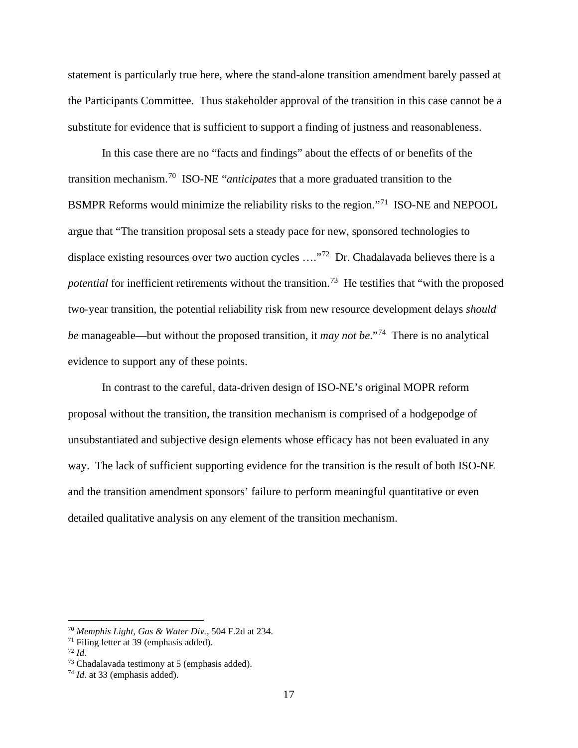statement is particularly true here, where the stand-alone transition amendment barely passed at the Participants Committee. Thus stakeholder approval of the transition in this case cannot be a substitute for evidence that is sufficient to support a finding of justness and reasonableness.

In this case there are no "facts and findings" about the effects of or benefits of the transition mechanism.[70](#page-16-0) ISO-NE "*anticipates* that a more graduated transition to the BSMPR Reforms would minimize the reliability risks to the region."[71](#page-16-1) ISO-NE and NEPOOL argue that "The transition proposal sets a steady pace for new, sponsored technologies to displace existing resources over two auction cycles ...."<sup>[72](#page-16-2)</sup> Dr. Chadalavada believes there is a potential for inefficient retirements without the transition.<sup>[73](#page-16-3)</sup> He testifies that "with the proposed two-year transition, the potential reliability risk from new resource development delays *should be* manageable—but without the proposed transition, it *may not be*."[74](#page-16-4) There is no analytical evidence to support any of these points.

In contrast to the careful, data-driven design of ISO-NE's original MOPR reform proposal without the transition, the transition mechanism is comprised of a hodgepodge of unsubstantiated and subjective design elements whose efficacy has not been evaluated in any way. The lack of sufficient supporting evidence for the transition is the result of both ISO-NE and the transition amendment sponsors' failure to perform meaningful quantitative or even detailed qualitative analysis on any element of the transition mechanism.

<span id="page-16-0"></span><sup>70</sup> *Memphis Light, Gas & Water Div.,* 504 F.2d at 234.

<span id="page-16-1"></span><sup>71</sup> Filing letter at 39 (emphasis added). 72 *Id*.

<span id="page-16-3"></span><span id="page-16-2"></span>

 $73$  Chadalavada testimony at 5 (emphasis added).

<span id="page-16-4"></span><sup>74</sup> *Id*. at 33 (emphasis added).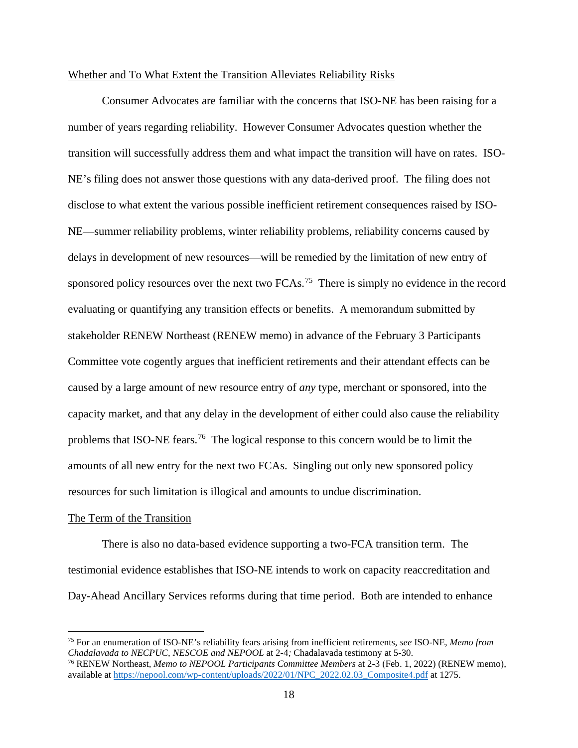#### Whether and To What Extent the Transition Alleviates Reliability Risks

Consumer Advocates are familiar with the concerns that ISO-NE has been raising for a number of years regarding reliability. However Consumer Advocates question whether the transition will successfully address them and what impact the transition will have on rates. ISO-NE's filing does not answer those questions with any data-derived proof. The filing does not disclose to what extent the various possible inefficient retirement consequences raised by ISO-NE—summer reliability problems, winter reliability problems, reliability concerns caused by delays in development of new resources—will be remedied by the limitation of new entry of sponsored policy resources over the next two FCAs.<sup>[75](#page-17-0)</sup> There is simply no evidence in the record evaluating or quantifying any transition effects or benefits. A memorandum submitted by stakeholder RENEW Northeast (RENEW memo) in advance of the February 3 Participants Committee vote cogently argues that inefficient retirements and their attendant effects can be caused by a large amount of new resource entry of *any* type, merchant or sponsored, into the capacity market, and that any delay in the development of either could also cause the reliability problems that ISO-NE fears.<sup>[76](#page-17-1)</sup> The logical response to this concern would be to limit the amounts of all new entry for the next two FCAs. Singling out only new sponsored policy resources for such limitation is illogical and amounts to undue discrimination.

#### The Term of the Transition

There is also no data-based evidence supporting a two-FCA transition term. The testimonial evidence establishes that ISO-NE intends to work on capacity reaccreditation and Day-Ahead Ancillary Services reforms during that time period. Both are intended to enhance

<span id="page-17-0"></span><sup>75</sup> For an enumeration of ISO-NE's reliability fears arising from inefficient retirements, *see* ISO-NE, *Memo from Chadalavada to NECPUC, NESCOE and NEPOOL* at 2-4*;* Chadalavada testimony at 5-30.

<span id="page-17-1"></span><sup>76</sup> RENEW Northeast, *Memo to NEPOOL Participants Committee Members* at 2-3 (Feb. 1, 2022) (RENEW memo), available at [https://nepool.com/wp-content/uploads/2022/01/NPC\\_2022.02.03\\_Composite4.pdf](https://nepool.com/wp-content/uploads/2022/01/NPC_2022.02.03_Composite4.pdf) at 1275.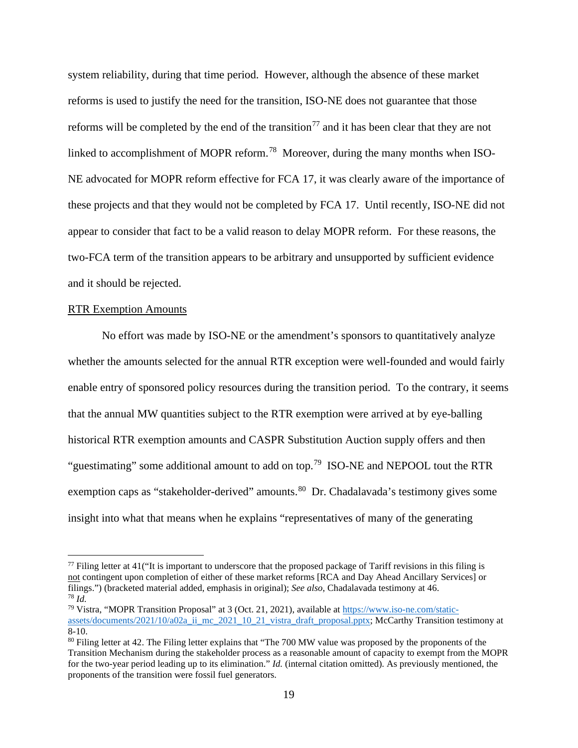system reliability, during that time period. However, although the absence of these market reforms is used to justify the need for the transition, ISO-NE does not guarantee that those reforms will be completed by the end of the transition<sup>[77](#page-18-0)</sup> and it has been clear that they are not linked to accomplishment of MOPR reform.<sup>[78](#page-18-1)</sup> Moreover, during the many months when ISO-NE advocated for MOPR reform effective for FCA 17, it was clearly aware of the importance of these projects and that they would not be completed by FCA 17. Until recently, ISO-NE did not appear to consider that fact to be a valid reason to delay MOPR reform. For these reasons, the two-FCA term of the transition appears to be arbitrary and unsupported by sufficient evidence and it should be rejected.

#### RTR Exemption Amounts

No effort was made by ISO-NE or the amendment's sponsors to quantitatively analyze whether the amounts selected for the annual RTR exception were well-founded and would fairly enable entry of sponsored policy resources during the transition period. To the contrary, it seems that the annual MW quantities subject to the RTR exemption were arrived at by eye-balling historical RTR exemption amounts and CASPR Substitution Auction supply offers and then "guestimating" some additional amount to add on top.<sup>79</sup> ISO-NE and NEPOOL tout the RTR exemption caps as "stakeholder-derived" amounts.<sup>[80](#page-18-3)</sup> Dr. Chadalavada's testimony gives some insight into what that means when he explains "representatives of many of the generating

<span id="page-18-0"></span> $77$  Filing letter at 41("It is important to underscore that the proposed package of Tariff revisions in this filing is not contingent upon completion of either of these market reforms [RCA and Day Ahead Ancillary Services] or filings.") (bracketed material added, emphasis in original); *See also*, Chadalavada testimony at 46. <sup>78</sup> *Id.*

<span id="page-18-2"></span><span id="page-18-1"></span><sup>79</sup> Vistra, "MOPR Transition Proposal" at 3 (Oct. 21, 2021), available at [https://www.iso-ne.com/static](https://www.iso-ne.com/static-assets/documents/2021/10/a02a_ii_mc_2021_10_21_vistra_draft_proposal.pptx)[assets/documents/2021/10/a02a\\_ii\\_mc\\_2021\\_10\\_21\\_vistra\\_draft\\_proposal.pptx;](https://www.iso-ne.com/static-assets/documents/2021/10/a02a_ii_mc_2021_10_21_vistra_draft_proposal.pptx) McCarthy Transition testimony at  $8 - 10$ .

<span id="page-18-3"></span><sup>&</sup>lt;sup>80</sup> Filing letter at 42. The Filing letter explains that "The 700 MW value was proposed by the proponents of the Transition Mechanism during the stakeholder process as a reasonable amount of capacity to exempt from the MOPR for the two-year period leading up to its elimination." *Id.* (internal citation omitted)*.* As previously mentioned, the proponents of the transition were fossil fuel generators.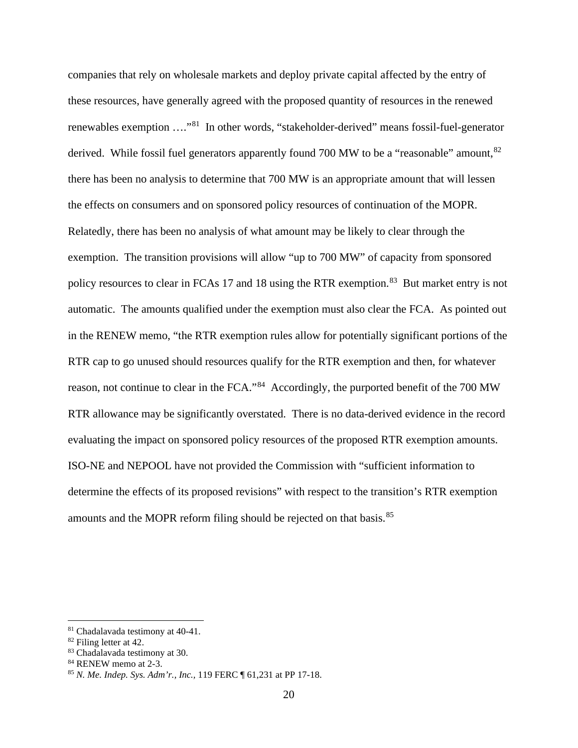companies that rely on wholesale markets and deploy private capital affected by the entry of these resources, have generally agreed with the proposed quantity of resources in the renewed renewables exemption …."[81](#page-19-0) In other words, "stakeholder-derived" means fossil-fuel-generator derived. While fossil fuel generators apparently found 700 MW to be a "reasonable" amount, <sup>[82](#page-19-1)</sup> there has been no analysis to determine that 700 MW is an appropriate amount that will lessen the effects on consumers and on sponsored policy resources of continuation of the MOPR. Relatedly, there has been no analysis of what amount may be likely to clear through the exemption. The transition provisions will allow "up to 700 MW" of capacity from sponsored policy resources to clear in FCAs 17 and 18 using the RTR exemption.<sup>[83](#page-19-2)</sup> But market entry is not automatic. The amounts qualified under the exemption must also clear the FCA. As pointed out in the RENEW memo, "the RTR exemption rules allow for potentially significant portions of the RTR cap to go unused should resources qualify for the RTR exemption and then, for whatever reason, not continue to clear in the FCA."<sup>[84](#page-19-3)</sup> Accordingly, the purported benefit of the 700 MW RTR allowance may be significantly overstated. There is no data-derived evidence in the record evaluating the impact on sponsored policy resources of the proposed RTR exemption amounts. ISO-NE and NEPOOL have not provided the Commission with "sufficient information to determine the effects of its proposed revisions" with respect to the transition's RTR exemption amounts and the MOPR reform filing should be rejected on that basis.[85](#page-19-4)

<span id="page-19-1"></span><span id="page-19-0"></span><sup>&</sup>lt;sup>81</sup> Chadalavada testimony at 40-41.<br><sup>82</sup> Filing letter at 42.<br><sup>83</sup> Chadalavada testimony at 30.<br><sup>84</sup> RENEW memo at 2-3.

<span id="page-19-2"></span>

<span id="page-19-4"></span><span id="page-19-3"></span><sup>85</sup> *N. Me. Indep. Sys. Adm'r., Inc.,* 119 FERC ¶ 61,231 at PP 17-18.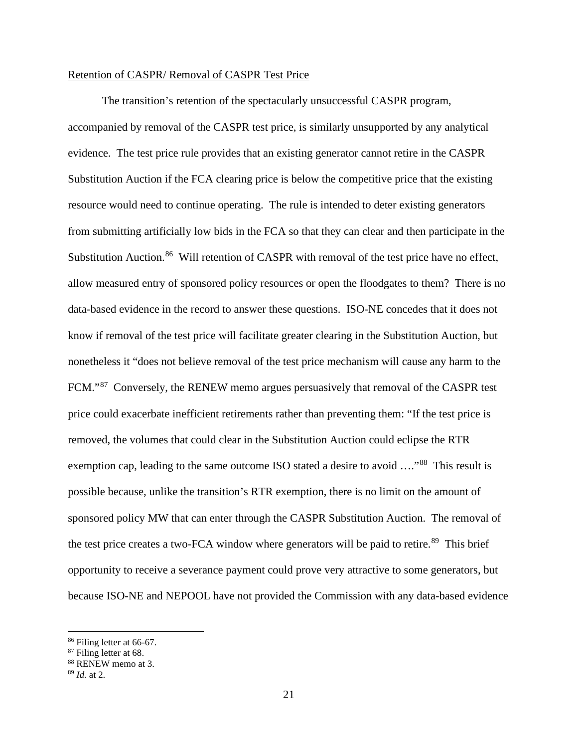### Retention of CASPR/ Removal of CASPR Test Price

The transition's retention of the spectacularly unsuccessful CASPR program, accompanied by removal of the CASPR test price, is similarly unsupported by any analytical evidence. The test price rule provides that an existing generator cannot retire in the CASPR Substitution Auction if the FCA clearing price is below the competitive price that the existing resource would need to continue operating. The rule is intended to deter existing generators from submitting artificially low bids in the FCA so that they can clear and then participate in the Substitution Auction.<sup>[86](#page-20-0)</sup> Will retention of CASPR with removal of the test price have no effect, allow measured entry of sponsored policy resources or open the floodgates to them? There is no data-based evidence in the record to answer these questions. ISO-NE concedes that it does not know if removal of the test price will facilitate greater clearing in the Substitution Auction, but nonetheless it "does not believe removal of the test price mechanism will cause any harm to the FCM."[87](#page-20-1) Conversely, the RENEW memo argues persuasively that removal of the CASPR test price could exacerbate inefficient retirements rather than preventing them: "If the test price is removed, the volumes that could clear in the Substitution Auction could eclipse the RTR exemption cap, leading to the same outcome ISO stated a desire to avoid ...."<sup>[88](#page-20-2)</sup> This result is possible because, unlike the transition's RTR exemption, there is no limit on the amount of sponsored policy MW that can enter through the CASPR Substitution Auction. The removal of the test price creates a two-FCA window where generators will be paid to retire.<sup>[89](#page-20-3)</sup> This brief opportunity to receive a severance payment could prove very attractive to some generators, but because ISO-NE and NEPOOL have not provided the Commission with any data-based evidence

<span id="page-20-0"></span><sup>&</sup>lt;sup>86</sup> Filing letter at 66-67.<br><sup>87</sup> Filing letter at 68.

<span id="page-20-2"></span><span id="page-20-1"></span>

<sup>&</sup>lt;sup>88</sup> RENEW memo at 3.

<span id="page-20-3"></span><sup>89</sup> *Id.* at 2.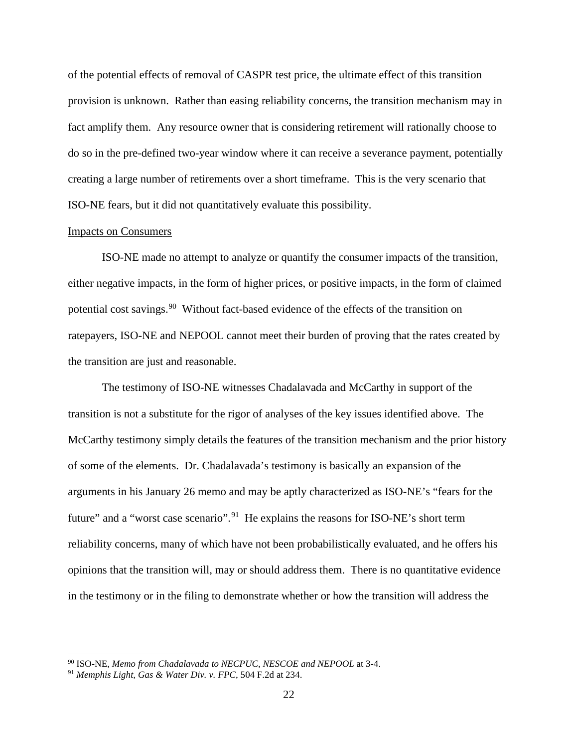of the potential effects of removal of CASPR test price, the ultimate effect of this transition provision is unknown. Rather than easing reliability concerns, the transition mechanism may in fact amplify them. Any resource owner that is considering retirement will rationally choose to do so in the pre-defined two-year window where it can receive a severance payment, potentially creating a large number of retirements over a short timeframe. This is the very scenario that ISO-NE fears, but it did not quantitatively evaluate this possibility.

#### Impacts on Consumers

ISO-NE made no attempt to analyze or quantify the consumer impacts of the transition, either negative impacts, in the form of higher prices, or positive impacts, in the form of claimed potential cost savings.<sup>[90](#page-21-0)</sup> Without fact-based evidence of the effects of the transition on ratepayers, ISO-NE and NEPOOL cannot meet their burden of proving that the rates created by the transition are just and reasonable.

The testimony of ISO-NE witnesses Chadalavada and McCarthy in support of the transition is not a substitute for the rigor of analyses of the key issues identified above. The McCarthy testimony simply details the features of the transition mechanism and the prior history of some of the elements. Dr. Chadalavada's testimony is basically an expansion of the arguments in his January 26 memo and may be aptly characterized as ISO-NE's "fears for the future" and a "worst case scenario".<sup>[91](#page-21-1)</sup> He explains the reasons for ISO-NE's short term reliability concerns, many of which have not been probabilistically evaluated, and he offers his opinions that the transition will, may or should address them. There is no quantitative evidence in the testimony or in the filing to demonstrate whether or how the transition will address the

<span id="page-21-0"></span><sup>90</sup> ISO-NE, *Memo from Chadalavada to NECPUC, NESCOE and NEPOOL* at 3-4.

<span id="page-21-1"></span><sup>91</sup> *Memphis Light, Gas & Water Div. v. FPC*, 504 F.2d at 234.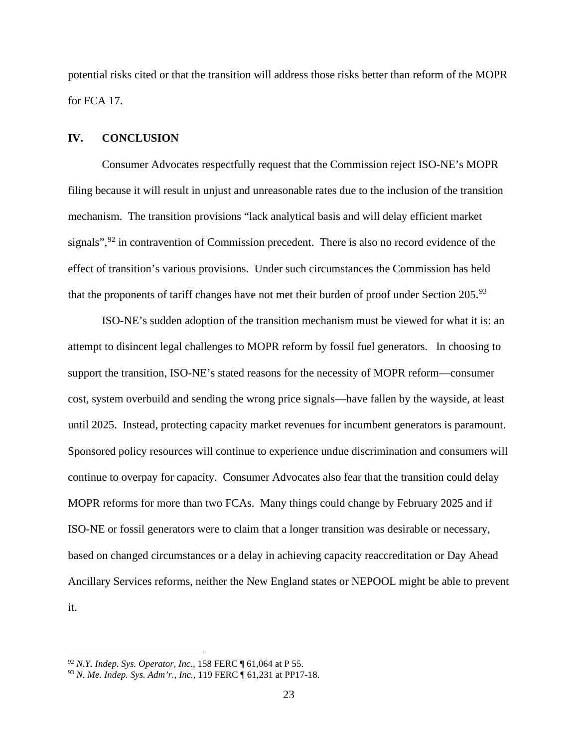potential risks cited or that the transition will address those risks better than reform of the MOPR for FCA 17.

### **IV. CONCLUSION**

Consumer Advocates respectfully request that the Commission reject ISO-NE's MOPR filing because it will result in unjust and unreasonable rates due to the inclusion of the transition mechanism. The transition provisions "lack analytical basis and will delay efficient market signals",<sup>[92](#page-22-0)</sup> in contravention of Commission precedent. There is also no record evidence of the effect of transition's various provisions. Under such circumstances the Commission has held that the proponents of tariff changes have not met their burden of proof under Section  $205.^{93}$  $205.^{93}$  $205.^{93}$ 

ISO-NE's sudden adoption of the transition mechanism must be viewed for what it is: an attempt to disincent legal challenges to MOPR reform by fossil fuel generators. In choosing to support the transition, ISO-NE's stated reasons for the necessity of MOPR reform—consumer cost, system overbuild and sending the wrong price signals—have fallen by the wayside, at least until 2025. Instead, protecting capacity market revenues for incumbent generators is paramount. Sponsored policy resources will continue to experience undue discrimination and consumers will continue to overpay for capacity. Consumer Advocates also fear that the transition could delay MOPR reforms for more than two FCAs. Many things could change by February 2025 and if ISO-NE or fossil generators were to claim that a longer transition was desirable or necessary, based on changed circumstances or a delay in achieving capacity reaccreditation or Day Ahead Ancillary Services reforms, neither the New England states or NEPOOL might be able to prevent it.

<span id="page-22-0"></span><sup>92</sup> *N.Y. Indep. Sys. Operator, Inc*., 158 FERC ¶ 61,064 at P 55.

<span id="page-22-1"></span><sup>93</sup> *N. Me. Indep. Sys. Adm'r., Inc.,* 119 FERC ¶ 61,231 at PP17-18.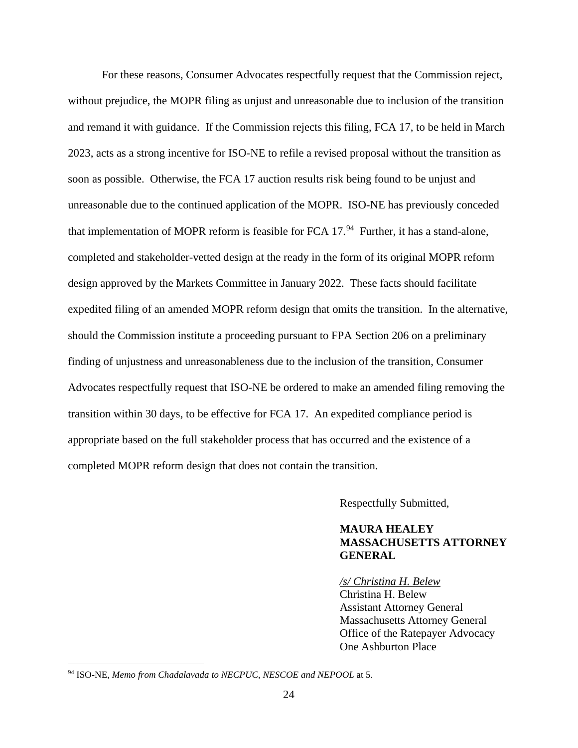For these reasons, Consumer Advocates respectfully request that the Commission reject, without prejudice, the MOPR filing as unjust and unreasonable due to inclusion of the transition and remand it with guidance. If the Commission rejects this filing, FCA 17, to be held in March 2023, acts as a strong incentive for ISO-NE to refile a revised proposal without the transition as soon as possible. Otherwise, the FCA 17 auction results risk being found to be unjust and unreasonable due to the continued application of the MOPR. ISO-NE has previously conceded that implementation of MOPR reform is feasible for FCA  $17.^{94}$  $17.^{94}$  $17.^{94}$  Further, it has a stand-alone, completed and stakeholder-vetted design at the ready in the form of its original MOPR reform design approved by the Markets Committee in January 2022. These facts should facilitate expedited filing of an amended MOPR reform design that omits the transition. In the alternative, should the Commission institute a proceeding pursuant to FPA Section 206 on a preliminary finding of unjustness and unreasonableness due to the inclusion of the transition, Consumer Advocates respectfully request that ISO-NE be ordered to make an amended filing removing the transition within 30 days, to be effective for FCA 17. An expedited compliance period is appropriate based on the full stakeholder process that has occurred and the existence of a completed MOPR reform design that does not contain the transition.

Respectfully Submitted,

# **MAURA HEALEY MASSACHUSETTS ATTORNEY GENERAL**

#### */s/ Christina H. Belew*

Christina H. Belew Assistant Attorney General Massachusetts Attorney General Office of the Ratepayer Advocacy One Ashburton Place

<span id="page-23-0"></span><sup>94</sup> ISO-NE, *Memo from Chadalavada to NECPUC, NESCOE and NEPOOL* at 5.